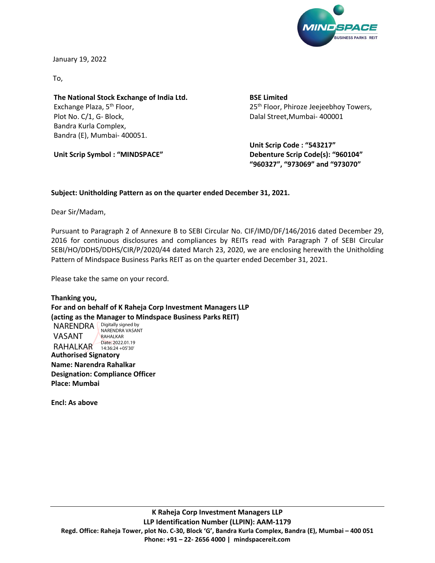

January 19, 2022

To,

**The National Stock Exchange of India Ltd.** Exchange Plaza, 5<sup>th</sup> Floor, Plot No. C/1, G- Block, Bandra Kurla Complex, Bandra (E), Mumbai- 400051.

**Unit Scrip Symbol : "MINDSPACE"**

**BSE Limited** 25<sup>th</sup> Floor, Phiroze Jeejeebhoy Towers, Dalal Street,Mumbai- 400001

**Unit Scrip Code : "543217" Debenture Scrip Code(s): "960104" "960327", "973069" and "973070"**

## **Subject: Unitholding Pattern as on the quarter ended December 31, 2021.**

Dear Sir/Madam,

Pursuant to Paragraph 2 of Annexure B to SEBI Circular No. CIF/IMD/DF/146/2016 dated December 29, 2016 for continuous disclosures and compliances by REITs read with Paragraph 7 of SEBI Circular SEBI/HO/DDHS/DDHS/CIR/P/2020/44 dated March 23, 2020, we are enclosing herewith the Unitholding Pattern of Mindspace Business Parks REIT as on the quarter ended December 31, 2021.

Please take the same on your record.

**Thanking you, For and on behalf of K Raheja Corp Investment Managers LLP (acting as the Manager to Mindspace Business Parks REIT)** NARENDRA **Digitally signed by** 

VASANT RAHALKAR Date: 2022.01.19 NARENDRA VASANT RAHALKAR 14:36:24 +05'30'

**Authorised Signatory Name: Narendra Rahalkar Designation: Compliance Officer Place: Mumbai**

**Encl: As above**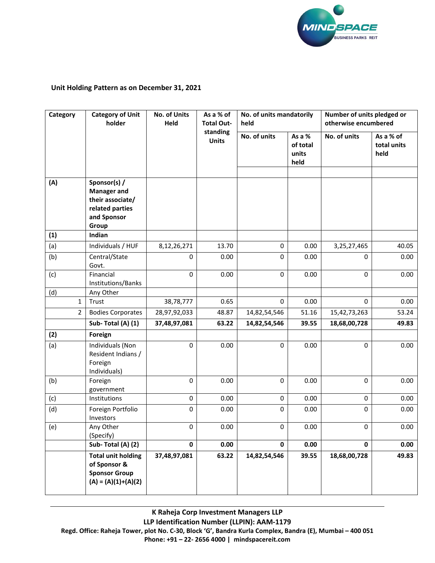

## **Unit Holding Pattern as on December 31, 2021**

| Category     | <b>Category of Unit</b><br>holder                                                                 | No. of Units<br>As a % of<br>No. of units mandatorily<br>Held<br><b>Total Out-</b><br>held |                          |                                                     | Number of units pledged or<br>otherwise encumbered |              |                                  |
|--------------|---------------------------------------------------------------------------------------------------|--------------------------------------------------------------------------------------------|--------------------------|-----------------------------------------------------|----------------------------------------------------|--------------|----------------------------------|
|              |                                                                                                   |                                                                                            | standing<br><b>Units</b> | No. of units<br>As a %<br>of total<br>units<br>held |                                                    | No. of units | As a % of<br>total units<br>held |
| (A)          | Sponsor(s) /<br><b>Manager and</b><br>their associate/<br>related parties<br>and Sponsor<br>Group |                                                                                            |                          |                                                     |                                                    |              |                                  |
| (1)          | Indian                                                                                            |                                                                                            |                          |                                                     |                                                    |              |                                  |
| (a)          | Individuals / HUF                                                                                 | 8,12,26,271                                                                                | 13.70                    | 0                                                   | 0.00                                               | 3,25,27,465  | 40.05                            |
| (b)          | Central/State<br>Govt.                                                                            | $\Omega$                                                                                   | 0.00                     | $\mathbf{0}$                                        | 0.00                                               | $\mathbf 0$  | 0.00                             |
| (c)          | Financial<br>Institutions/Banks                                                                   | 0                                                                                          | 0.00                     | $\mathbf{0}$                                        | 0.00                                               | 0            | 0.00                             |
| (d)          | Any Other                                                                                         |                                                                                            |                          |                                                     |                                                    |              |                                  |
| $\mathbf{1}$ | Trust                                                                                             | 38,78,777                                                                                  | 0.65                     | $\Omega$                                            | 0.00                                               | $\Omega$     | 0.00                             |
| 2            | <b>Bodies Corporates</b>                                                                          | 28,97,92,033                                                                               | 48.87                    | 14,82,54,546                                        | 51.16                                              | 15,42,73,263 | 53.24                            |
|              | Sub-Total (A) (1)                                                                                 | 37,48,97,081                                                                               | 63.22                    | 14,82,54,546                                        | 39.55                                              | 18,68,00,728 | 49.83                            |
| (2)          | Foreign                                                                                           |                                                                                            |                          |                                                     |                                                    |              |                                  |
| (a)          | Individuals (Non<br>Resident Indians /<br>Foreign<br>Individuals)                                 | $\pmb{0}$                                                                                  | 0.00                     | $\mathbf 0$                                         | 0.00                                               | $\pmb{0}$    | 0.00                             |
| (b)          | Foreign<br>government                                                                             | $\mathbf 0$                                                                                | 0.00                     | $\mathbf 0$                                         | 0.00                                               | $\pmb{0}$    | 0.00                             |
| (c)          | Institutions                                                                                      | $\pmb{0}$                                                                                  | 0.00                     | $\mathbf 0$                                         | 0.00                                               | 0            | 0.00                             |
| (d)          | Foreign Portfolio<br>Investors                                                                    | 0                                                                                          | 0.00                     | $\mathbf 0$                                         | 0.00                                               | $\pmb{0}$    | 0.00                             |
| (e)          | Any Other<br>(Specify)                                                                            | 0                                                                                          | 0.00                     | 0                                                   | 0.00                                               | 0            | 0.00                             |
|              | Sub-Total $(A)$ $(2)$                                                                             | $\pmb{0}$                                                                                  | 0.00                     | $\mathbf 0$                                         | 0.00                                               | $\mathbf 0$  | 0.00                             |
|              | <b>Total unit holding</b><br>of Sponsor &<br><b>Sponsor Group</b><br>$(A) = (A)(1)+(A)(2)$        | 37,48,97,081                                                                               | 63.22                    | 14,82,54,546                                        | 39.55                                              | 18,68,00,728 | 49.83                            |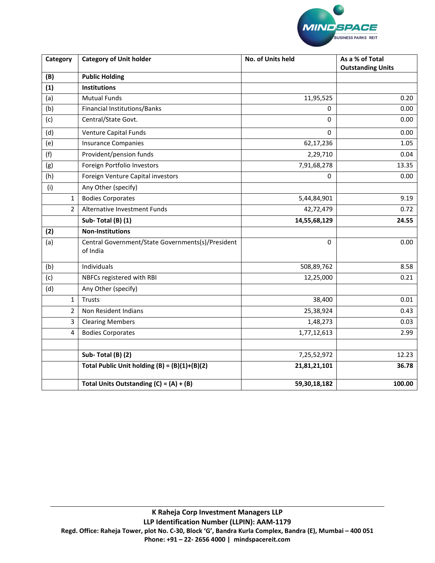

| Category       | <b>Category of Unit holder</b>                                | No. of Units held | As a % of Total<br><b>Outstanding Units</b> |  |
|----------------|---------------------------------------------------------------|-------------------|---------------------------------------------|--|
| (B)            | <b>Public Holding</b>                                         |                   |                                             |  |
| (1)            | <b>Institutions</b>                                           |                   |                                             |  |
| (a)            | <b>Mutual Funds</b>                                           | 11,95,525         | 0.20                                        |  |
| (b)            | Financial Institutions/Banks                                  | 0                 | 0.00                                        |  |
| (c)            | Central/State Govt.                                           | 0                 | 0.00                                        |  |
| (d)            | <b>Venture Capital Funds</b>                                  | 0                 | 0.00                                        |  |
| (e)            | <b>Insurance Companies</b>                                    | 62,17,236         | 1.05                                        |  |
| (f)            | Provident/pension funds                                       | 2,29,710          | 0.04                                        |  |
| (g)            | Foreign Portfolio Investors                                   | 7,91,68,278       | 13.35                                       |  |
| (h)            | Foreign Venture Capital investors                             | 0                 | 0.00                                        |  |
| (i)            | Any Other (specify)                                           |                   |                                             |  |
| $\mathbf{1}$   | <b>Bodies Corporates</b>                                      | 5,44,84,901       | 9.19                                        |  |
| $\overline{2}$ | Alternative Investment Funds                                  | 42,72,479         | 0.72                                        |  |
|                | Sub-Total (B) (1)                                             | 14,55,68,129      | 24.55                                       |  |
| (2)            | <b>Non-Institutions</b>                                       |                   |                                             |  |
| (a)            | Central Government/State Governments(s)/President<br>of India | 0                 | 0.00                                        |  |
| (b)            | Individuals                                                   | 508,89,762        | 8.58                                        |  |
| (c)            | NBFCs registered with RBI                                     | 12,25,000         | 0.21                                        |  |
| (d)            | Any Other (specify)                                           |                   |                                             |  |
| $\mathbf{1}$   | Trusts                                                        | 38,400            | 0.01                                        |  |
| $\overline{2}$ | Non Resident Indians                                          | 25,38,924         | 0.43                                        |  |
| 3              | <b>Clearing Members</b>                                       | 1,48,273          | 0.03                                        |  |
| 4              | <b>Bodies Corporates</b>                                      | 1,77,12,613       | 2.99                                        |  |
|                |                                                               |                   |                                             |  |
|                | Sub-Total (B) (2)                                             | 7,25,52,972       | 12.23                                       |  |
|                | Total Public Unit holding $(B) = (B)(1)+(B)(2)$               | 21,81,21,101      | 36.78                                       |  |
|                | Total Units Outstanding $(C) = (A) + (B)$                     | 59,30,18,182      | 100.00                                      |  |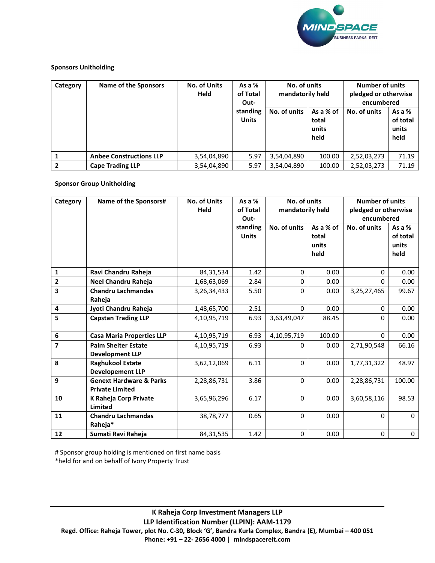

## **Sponsors Unitholding**

| Category       | Name of the Sponsors           | <b>No. of Units</b><br>Held | As a $%$<br>of Total<br>Out- | No. of units<br>mandatorily held |                                     | <b>Number of units</b><br>pledged or otherwise<br>encumbered |                                       |
|----------------|--------------------------------|-----------------------------|------------------------------|----------------------------------|-------------------------------------|--------------------------------------------------------------|---------------------------------------|
|                |                                |                             | standing<br><b>Units</b>     | No. of units                     | As a % of<br>total<br>units<br>held | No. of units                                                 | As a $%$<br>of total<br>units<br>held |
|                |                                |                             |                              |                                  |                                     |                                                              |                                       |
|                | <b>Anbee Constructions LLP</b> | 3,54,04,890                 | 5.97                         | 3,54,04,890                      | 100.00                              | 2,52,03,273                                                  | 71.19                                 |
| $\overline{2}$ | <b>Cape Trading LLP</b>        | 3,54,04,890                 | 5.97                         | 3,54,04,890                      | 100.00                              | 2,52,03,273                                                  | 71.19                                 |

## **Sponsor Group Unitholding**

| Category                | Name of the Sponsors#                                        | <b>No. of Units</b><br>Held | As a $%$<br>of Total<br>Out- | No. of units<br>mandatorily held |                                     | <b>Number of units</b><br>pledged or otherwise<br>encumbered |                                       |
|-------------------------|--------------------------------------------------------------|-----------------------------|------------------------------|----------------------------------|-------------------------------------|--------------------------------------------------------------|---------------------------------------|
|                         |                                                              |                             | standing<br><b>Units</b>     | No. of units                     | As a % of<br>total<br>units<br>held | No. of units                                                 | As a $%$<br>of total<br>units<br>held |
|                         |                                                              |                             |                              |                                  |                                     |                                                              |                                       |
| $\mathbf{1}$            | Ravi Chandru Raheja                                          | 84,31,534                   | 1.42                         | 0                                | 0.00                                | 0                                                            | 0.00                                  |
| $\overline{\mathbf{2}}$ | Neel Chandru Raheja                                          | 1,68,63,069                 | 2.84                         | 0                                | 0.00                                | 0                                                            | 0.00                                  |
| 3                       | <b>Chandru Lachmandas</b><br>Raheja                          | 3,26,34,433                 | 5.50                         | 0                                | 0.00                                | 3,25,27,465                                                  | 99.67                                 |
| 4                       | Jyoti Chandru Raheja                                         | 1,48,65,700                 | 2.51                         | $\Omega$                         | 0.00                                | $\mathbf{0}$                                                 | 0.00                                  |
| 5                       | <b>Capstan Trading LLP</b>                                   | 4,10,95,719                 | 6.93                         | 3,63,49,047                      | 88.45                               | 0                                                            | 0.00                                  |
| 6                       | <b>Casa Maria Properties LLP</b>                             | 4,10,95,719                 | 6.93                         | 4,10,95,719                      | 100.00                              | 0                                                            | 0.00                                  |
| $\overline{7}$          | <b>Palm Shelter Estate</b><br><b>Development LLP</b>         | 4,10,95,719                 | 6.93                         | 0                                | 0.00                                | 2,71,90,548                                                  | 66.16                                 |
| 8                       | <b>Raghukool Estate</b><br><b>Developement LLP</b>           | 3,62,12,069                 | 6.11                         | $\Omega$                         | 0.00                                | 1,77,31,322                                                  | 48.97                                 |
| 9                       | <b>Genext Hardware &amp; Parks</b><br><b>Private Limited</b> | 2,28,86,731                 | 3.86                         | $\Omega$                         | 0.00                                | 2,28,86,731                                                  | 100.00                                |
| 10                      | K Raheja Corp Private<br>Limited                             | 3,65,96,296                 | 6.17                         | $\Omega$                         | 0.00                                | 3,60,58,116                                                  | 98.53                                 |
| 11                      | <b>Chandru Lachmandas</b><br>Raheja*                         | 38,78,777                   | 0.65                         | 0                                | 0.00                                | 0                                                            | $\mathbf 0$                           |
| 12                      | Sumati Ravi Raheja                                           | 84, 31, 535                 | 1.42                         | $\Omega$                         | 0.00                                | $\Omega$                                                     | 0                                     |

# Sponsor group holding is mentioned on first name basis

\*held for and on behalf of Ivory Property Trust